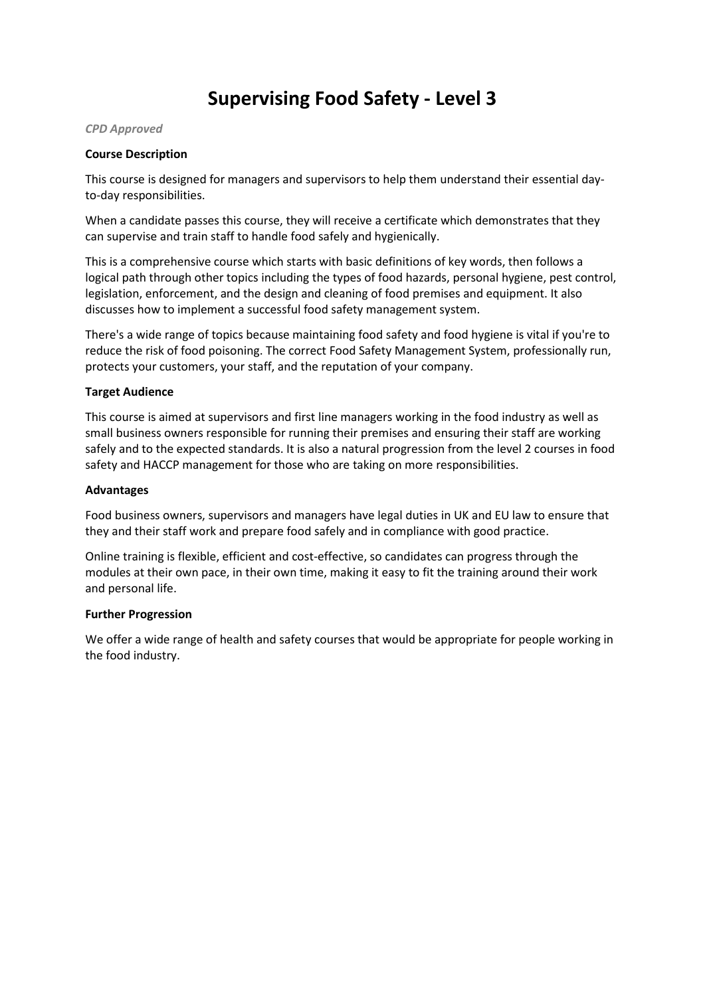# **Supervising Food Safety - Level 3**

#### *CPD Approved*

### **Course Description**

This course is designed for managers and supervisors to help them understand their essential dayto-day responsibilities.

When a candidate passes this course, they will receive a certificate which demonstrates that they can supervise and train staff to handle food safely and hygienically.

This is a comprehensive course which starts with basic definitions of key words, then follows a logical path through other topics including the types of food hazards, personal hygiene, pest control, legislation, enforcement, and the design and cleaning of food premises and equipment. It also discusses how to implement a successful food safety management system.

There's a wide range of topics because maintaining food safety and food hygiene is vital if you're to reduce the risk of food poisoning. The correct Food Safety Management System, professionally run, protects your customers, your staff, and the reputation of your company.

### **Target Audience**

This course is aimed at supervisors and first line managers working in the food industry as well as small business owners responsible for running their premises and ensuring their staff are working safely and to the expected standards. It is also a natural progression from the level 2 courses in food safety and HACCP management for those who are taking on more responsibilities.

### **Advantages**

Food business owners, supervisors and managers have legal duties in UK and EU law to ensure that they and their staff work and prepare food safely and in compliance with good practice.

Online training is flexible, efficient and cost-effective, so candidates can progress through the modules at their own pace, in their own time, making it easy to fit the training around their work and personal life.

### **Further Progression**

We offer a wide range of health and safety courses that would be appropriate for people working in the food industry.